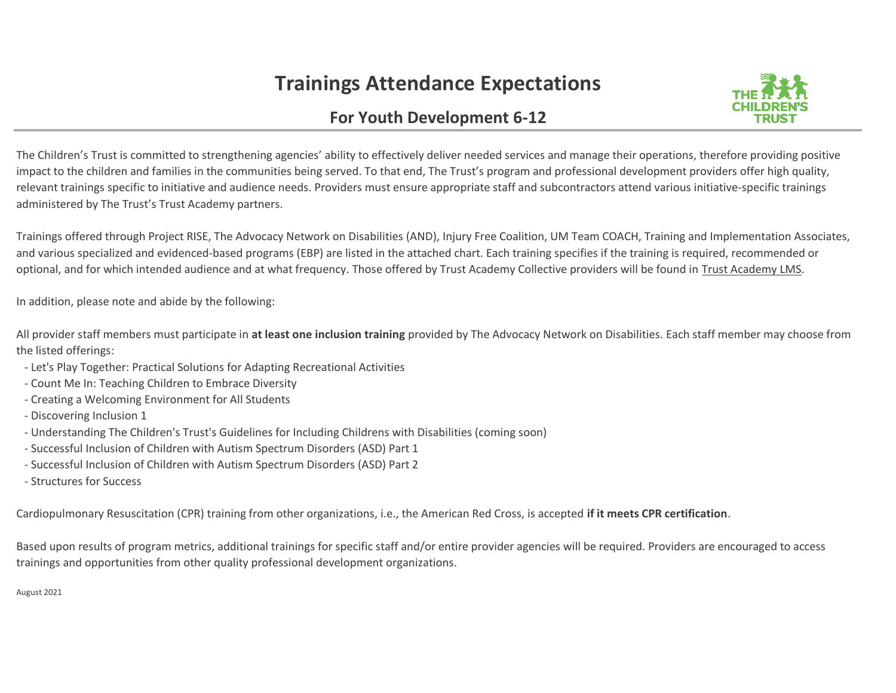## **Trainings Attendance Expectations**



## **For Youth Development 6-12**

The Children's Trust is committed to strengthening agencies' ability to effectively deliver needed services and manage their operations, therefore providing positive impact to the children and families in the communities being served. To that end, The Trust's program and professional development providers offer high quality, relevant trainings specific to initiative and audience needs. Providers must ensure appropriate staff and subcontractors attend various initiative-specific trainings administered by The Trust's Trust Academy partners.

Trainings offered through Project RISE, The Advocacy Network on Disabilities (AND), Injury Free Coalition, UM Team COACH, Training and Implementation Associates, and various specialized and evidenced-based programs (EBP) are listed in the attached chart. Each training specifies if the training is required, recommended or optional, and for which intended audience and at what frequency. Those offered by Trust Academy Collective providers will be found in Trust Academy LMS.

In addition, please note and abide by the following:

All provider staff members must participate in **at least one inclusion training** provided by The Advocacy Network on Disabilities. Each staff member may choose from the listed offerings:

- Let's Play Together: Practical Solutions for Adapting Recreational Activities
- Count Me In: Teaching Children to Embrace Diversity
- Creating a Welcoming Environment for All Students
- Discovering Inclusion 1
- Understanding The Children's Trust's Guidelines for Including Childrens with Disabilities (coming soon)
- Successful Inclusion of Children with Autism Spectrum Disorders (ASD) Part 1
- Successful Inclusion of Children with Autism Spectrum Disorders (ASD) Part 2
- Structures for Success

Cardiopulmonary Resuscitation (CPR) training from other organizations, i.e., the American Red Cross, is accepted **if it meets CPR certification**.

Based upon results of program metrics, additional trainings for specific staff and/or entire provider agencies will be required. Providers are encouraged to access trainings and opportunities from other quality professional development organizations.

August 2021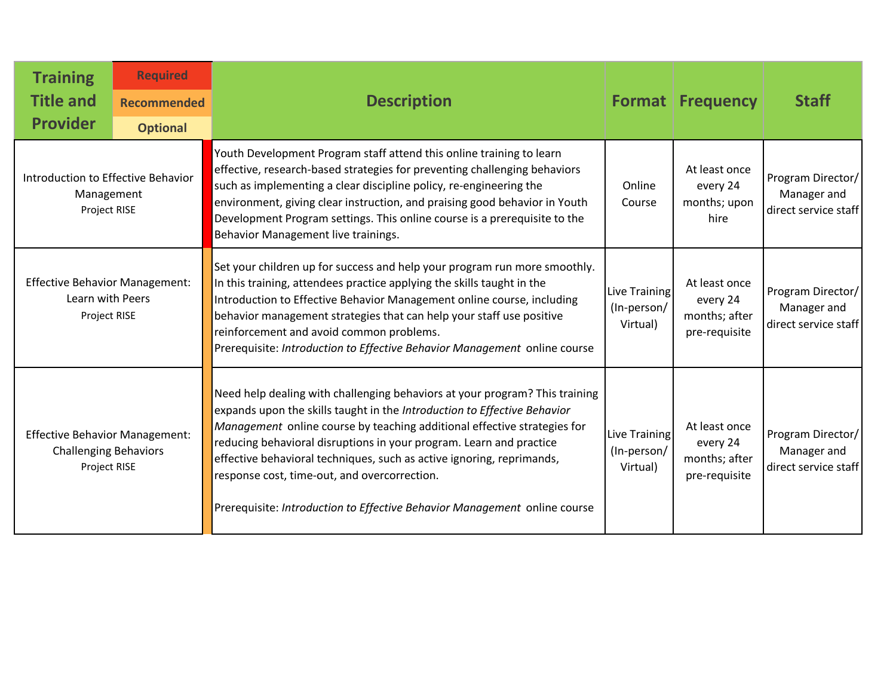| <b>Training</b><br><b>Title and</b><br><b>Provider</b>                                | <b>Required</b><br><b>Recommended</b><br><b>Optional</b> | <b>Description</b>                                                                                                                                                                                                                                                                                                                                                                                                                                                                                               |                                          | <b>Format Frequency</b>                                     | <b>Staff</b>                                             |
|---------------------------------------------------------------------------------------|----------------------------------------------------------|------------------------------------------------------------------------------------------------------------------------------------------------------------------------------------------------------------------------------------------------------------------------------------------------------------------------------------------------------------------------------------------------------------------------------------------------------------------------------------------------------------------|------------------------------------------|-------------------------------------------------------------|----------------------------------------------------------|
| Introduction to Effective Behavior<br>Management<br>Project RISE                      |                                                          | Youth Development Program staff attend this online training to learn<br>effective, research-based strategies for preventing challenging behaviors<br>such as implementing a clear discipline policy, re-engineering the<br>environment, giving clear instruction, and praising good behavior in Youth<br>Development Program settings. This online course is a prerequisite to the<br>Behavior Management live trainings.                                                                                        | Online<br>Course                         | At least once<br>every 24<br>months; upon<br>hire           | Program Director/<br>Manager and<br>direct service staff |
| <b>Effective Behavior Management:</b><br>Learn with Peers<br>Project RISE             |                                                          | Set your children up for success and help your program run more smoothly.<br>In this training, attendees practice applying the skills taught in the<br>Introduction to Effective Behavior Management online course, including<br>behavior management strategies that can help your staff use positive<br>reinforcement and avoid common problems.<br>Prerequisite: Introduction to Effective Behavior Management online course                                                                                   | Live Training<br>(In-person/<br>Virtual) | At least once<br>every 24<br>months; after<br>pre-requisite | Program Director/<br>Manager and<br>direct service staff |
| <b>Effective Behavior Management:</b><br><b>Challenging Behaviors</b><br>Project RISE |                                                          | Need help dealing with challenging behaviors at your program? This training<br>expands upon the skills taught in the Introduction to Effective Behavior<br>Management online course by teaching additional effective strategies for<br>reducing behavioral disruptions in your program. Learn and practice<br>effective behavioral techniques, such as active ignoring, reprimands,<br>response cost, time-out, and overcorrection.<br>Prerequisite: Introduction to Effective Behavior Management online course | Live Training<br>(In-person/<br>Virtual) | At least once<br>every 24<br>months; after<br>pre-requisite | Program Director/<br>Manager and<br>direct service staff |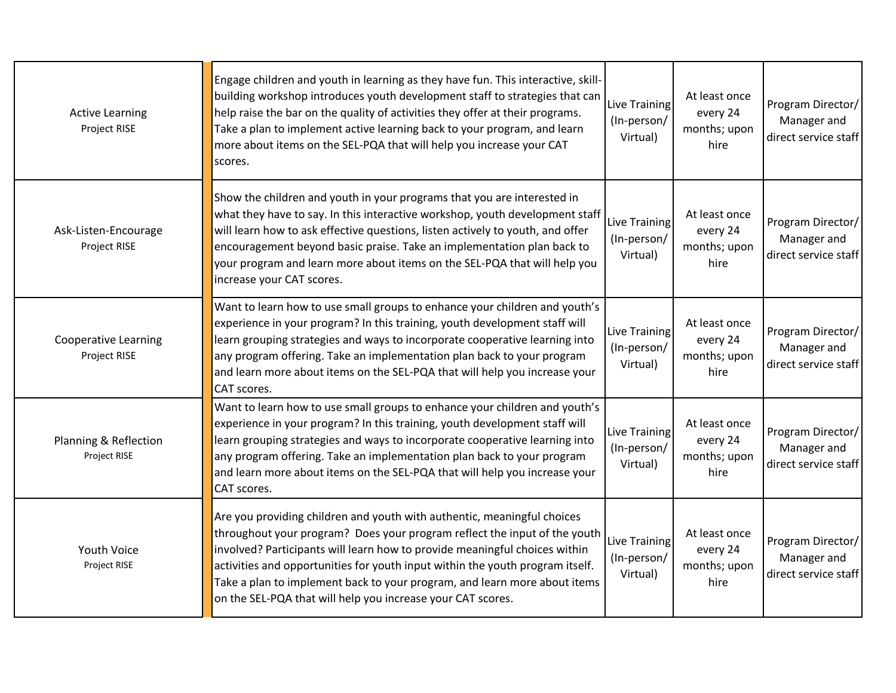| <b>Active Learning</b><br>Project RISE      | Engage children and youth in learning as they have fun. This interactive, skill-<br>building workshop introduces youth development staff to strategies that can<br>help raise the bar on the quality of activities they offer at their programs.<br>Take a plan to implement active learning back to your program, and learn<br>more about items on the SEL-PQA that will help you increase your CAT                                                            | Live Training<br>(In-person/<br>Virtual) | At least once<br>every 24<br>months; upon<br>hire | Program Director/<br>Manager and<br>direct service staff |
|---------------------------------------------|-----------------------------------------------------------------------------------------------------------------------------------------------------------------------------------------------------------------------------------------------------------------------------------------------------------------------------------------------------------------------------------------------------------------------------------------------------------------|------------------------------------------|---------------------------------------------------|----------------------------------------------------------|
| Ask-Listen-Encourage<br>Project RISE        | scores.<br>Show the children and youth in your programs that you are interested in<br>what they have to say. In this interactive workshop, youth development staff<br>will learn how to ask effective questions, listen actively to youth, and offer<br>encouragement beyond basic praise. Take an implementation plan back to<br>your program and learn more about items on the SEL-PQA that will help you<br>increase your CAT scores.                        | Live Training<br>(In-person/<br>Virtual) | At least once<br>every 24<br>months; upon<br>hire | Program Director/<br>Manager and<br>direct service staff |
| <b>Cooperative Learning</b><br>Project RISE | Want to learn how to use small groups to enhance your children and youth's<br>experience in your program? In this training, youth development staff will<br>learn grouping strategies and ways to incorporate cooperative learning into<br>any program offering. Take an implementation plan back to your program<br>and learn more about items on the SEL-PQA that will help you increase your<br>CAT scores.                                                  | Live Training<br>(In-person/<br>Virtual) | At least once<br>every 24<br>months; upon<br>hire | Program Director/<br>Manager and<br>direct service staff |
| Planning & Reflection<br>Project RISE       | Want to learn how to use small groups to enhance your children and youth's<br>experience in your program? In this training, youth development staff will<br>learn grouping strategies and ways to incorporate cooperative learning into<br>any program offering. Take an implementation plan back to your program<br>and learn more about items on the SEL-PQA that will help you increase your<br>CAT scores.                                                  | Live Training<br>(In-person/<br>Virtual) | At least once<br>every 24<br>months; upon<br>hire | Program Director/<br>Manager and<br>direct service staff |
| <b>Youth Voice</b><br>Project RISE          | Are you providing children and youth with authentic, meaningful choices<br>throughout your program? Does your program reflect the input of the youth<br>involved? Participants will learn how to provide meaningful choices within<br>activities and opportunities for youth input within the youth program itself.<br>Take a plan to implement back to your program, and learn more about items<br>on the SEL-PQA that will help you increase your CAT scores. | Live Training<br>(In-person/<br>Virtual) | At least once<br>every 24<br>months; upon<br>hire | Program Director/<br>Manager and<br>direct service staff |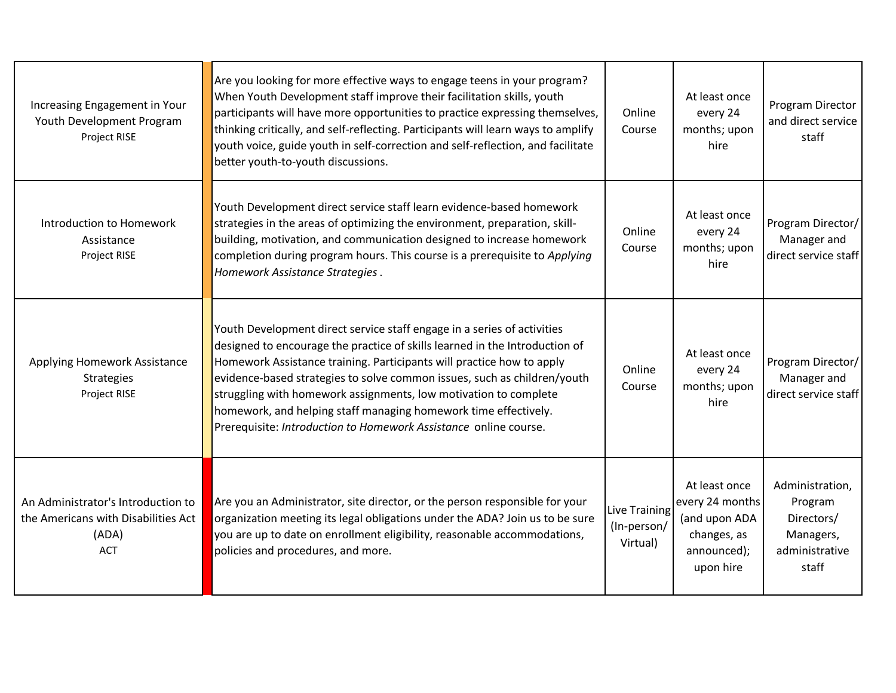| Increasing Engagement in Your<br>Youth Development Program<br>Project RISE                       | Are you looking for more effective ways to engage teens in your program?<br>When Youth Development staff improve their facilitation skills, youth<br>participants will have more opportunities to practice expressing themselves,<br>thinking critically, and self-reflecting. Participants will learn ways to amplify<br>youth voice, guide youth in self-correction and self-reflection, and facilitate<br>better youth-to-youth discussions.                                                                        | Online<br>Course                         | At least once<br>every 24<br>months; upon<br>hire                                            | Program Director<br>and direct service<br>staff                                  |
|--------------------------------------------------------------------------------------------------|------------------------------------------------------------------------------------------------------------------------------------------------------------------------------------------------------------------------------------------------------------------------------------------------------------------------------------------------------------------------------------------------------------------------------------------------------------------------------------------------------------------------|------------------------------------------|----------------------------------------------------------------------------------------------|----------------------------------------------------------------------------------|
| Introduction to Homework<br>Assistance<br>Project RISE                                           | Youth Development direct service staff learn evidence-based homework<br>strategies in the areas of optimizing the environment, preparation, skill-<br>building, motivation, and communication designed to increase homework<br>completion during program hours. This course is a prerequisite to Applying<br>Homework Assistance Strategies.                                                                                                                                                                           | Online<br>Course                         | At least once<br>every 24<br>months; upon<br>hire                                            | Program Director/<br>Manager and<br>direct service staff                         |
| Applying Homework Assistance<br><b>Strategies</b><br>Project RISE                                | Youth Development direct service staff engage in a series of activities<br>designed to encourage the practice of skills learned in the Introduction of<br>Homework Assistance training. Participants will practice how to apply<br>evidence-based strategies to solve common issues, such as children/youth<br>struggling with homework assignments, low motivation to complete<br>homework, and helping staff managing homework time effectively.<br>Prerequisite: Introduction to Homework Assistance online course. | Online<br>Course                         | At least once<br>every 24<br>months; upon<br>hire                                            | Program Director/<br>Manager and<br>direct service staff                         |
| An Administrator's Introduction to<br>the Americans with Disabilities Act<br>(ADA)<br><b>ACT</b> | Are you an Administrator, site director, or the person responsible for your<br>organization meeting its legal obligations under the ADA? Join us to be sure<br>you are up to date on enrollment eligibility, reasonable accommodations,<br>policies and procedures, and more.                                                                                                                                                                                                                                          | Live Training<br>(In-person/<br>Virtual) | At least once<br>every 24 months<br>(and upon ADA<br>changes, as<br>announced);<br>upon hire | Administration,<br>Program<br>Directors/<br>Managers,<br>administrative<br>staff |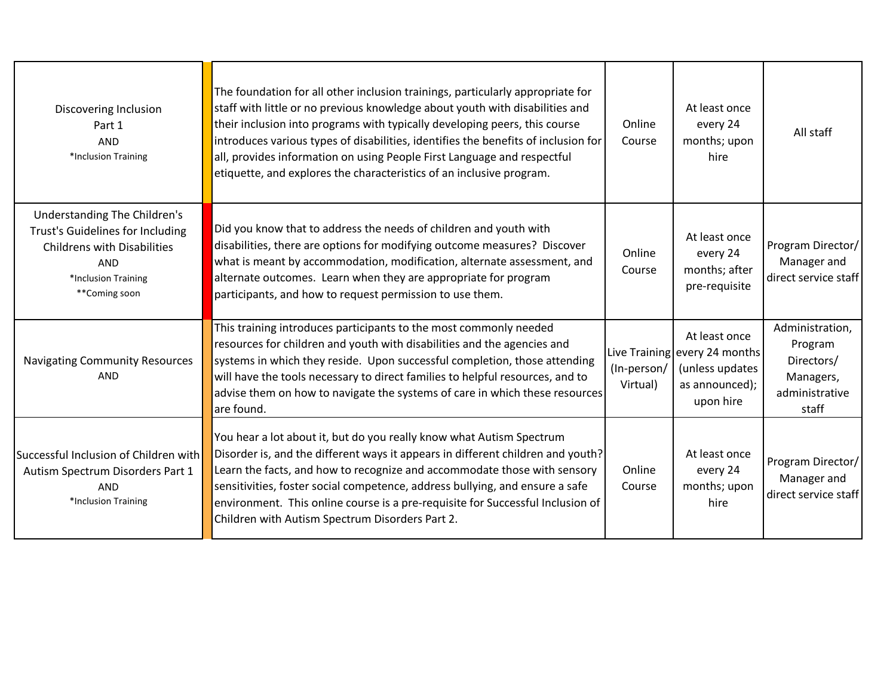| Discovering Inclusion<br>Part 1<br><b>AND</b><br>*Inclusion Training                                                                                         | The foundation for all other inclusion trainings, particularly appropriate for<br>staff with little or no previous knowledge about youth with disabilities and<br>their inclusion into programs with typically developing peers, this course<br>introduces various types of disabilities, identifies the benefits of inclusion for<br>all, provides information on using People First Language and respectful<br>etiquette, and explores the characteristics of an inclusive program. | Online<br>Course        | At least once<br>every 24<br>months; upon<br>hire                                                | All staff                                                                        |
|--------------------------------------------------------------------------------------------------------------------------------------------------------------|---------------------------------------------------------------------------------------------------------------------------------------------------------------------------------------------------------------------------------------------------------------------------------------------------------------------------------------------------------------------------------------------------------------------------------------------------------------------------------------|-------------------------|--------------------------------------------------------------------------------------------------|----------------------------------------------------------------------------------|
| Understanding The Children's<br>Trust's Guidelines for Including<br><b>Childrens with Disabilities</b><br><b>AND</b><br>*Inclusion Training<br>**Coming soon | Did you know that to address the needs of children and youth with<br>disabilities, there are options for modifying outcome measures? Discover<br>what is meant by accommodation, modification, alternate assessment, and<br>alternate outcomes. Learn when they are appropriate for program<br>participants, and how to request permission to use them.                                                                                                                               | Online<br>Course        | At least once<br>every 24<br>months; after<br>pre-requisite                                      | Program Director/<br>Manager and<br>direct service staff                         |
| <b>Navigating Community Resources</b><br><b>AND</b>                                                                                                          | This training introduces participants to the most commonly needed<br>resources for children and youth with disabilities and the agencies and<br>systems in which they reside. Upon successful completion, those attending<br>will have the tools necessary to direct families to helpful resources, and to<br>advise them on how to navigate the systems of care in which these resources<br>are found.                                                                               | (In-person/<br>Virtual) | At least once<br>Live Training every 24 months<br>(unless updates<br>as announced);<br>upon hire | Administration,<br>Program<br>Directors/<br>Managers,<br>administrative<br>staff |
| Successful Inclusion of Children with<br>Autism Spectrum Disorders Part 1<br><b>AND</b><br>*Inclusion Training                                               | You hear a lot about it, but do you really know what Autism Spectrum<br>Disorder is, and the different ways it appears in different children and youth?<br>Learn the facts, and how to recognize and accommodate those with sensory<br>sensitivities, foster social competence, address bullying, and ensure a safe<br>environment. This online course is a pre-requisite for Successful Inclusion of<br>Children with Autism Spectrum Disorders Part 2.                              | Online<br>Course        | At least once<br>every 24<br>months; upon<br>hire                                                | Program Director/<br>Manager and<br>direct service staff                         |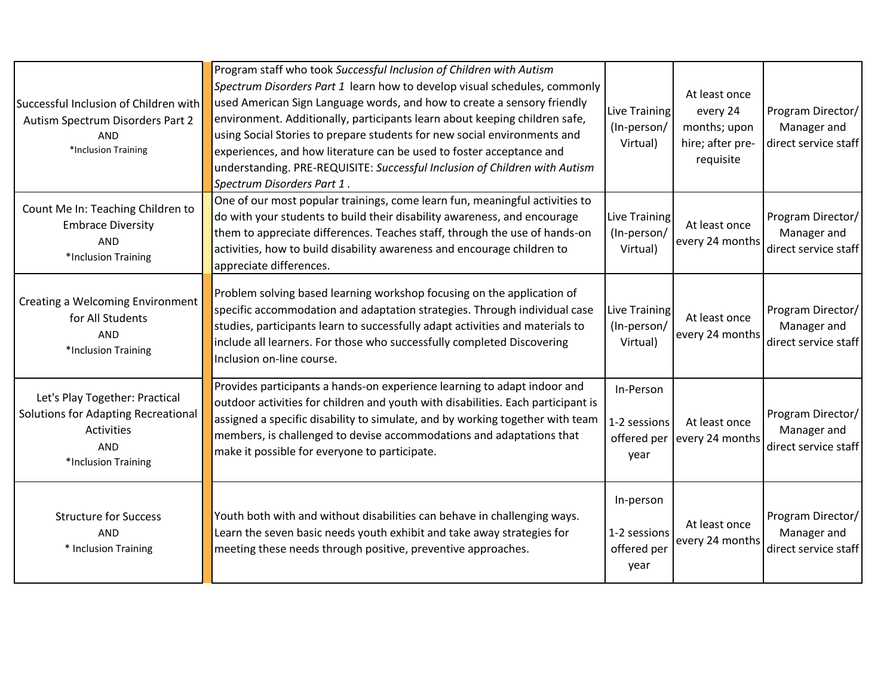| Successful Inclusion of Children with<br>Autism Spectrum Disorders Part 2<br><b>AND</b><br>*Inclusion Training           | Program staff who took Successful Inclusion of Children with Autism<br>Spectrum Disorders Part 1 learn how to develop visual schedules, commonly<br>used American Sign Language words, and how to create a sensory friendly<br>environment. Additionally, participants learn about keeping children safe,<br>using Social Stories to prepare students for new social environments and<br>experiences, and how literature can be used to foster acceptance and<br>understanding. PRE-REQUISITE: Successful Inclusion of Children with Autism<br>Spectrum Disorders Part 1. | Live Training<br>(In-person/<br>Virtual)         | At least once<br>every 24<br>months; upon<br>hire; after pre-<br>requisite | Program Director/<br>Manager and<br>direct service staff |
|--------------------------------------------------------------------------------------------------------------------------|---------------------------------------------------------------------------------------------------------------------------------------------------------------------------------------------------------------------------------------------------------------------------------------------------------------------------------------------------------------------------------------------------------------------------------------------------------------------------------------------------------------------------------------------------------------------------|--------------------------------------------------|----------------------------------------------------------------------------|----------------------------------------------------------|
| Count Me In: Teaching Children to<br><b>Embrace Diversity</b><br><b>AND</b><br>*Inclusion Training                       | One of our most popular trainings, come learn fun, meaningful activities to<br>do with your students to build their disability awareness, and encourage<br>them to appreciate differences. Teaches staff, through the use of hands-on<br>activities, how to build disability awareness and encourage children to<br>appreciate differences.                                                                                                                                                                                                                               | Live Training<br>(In-person/<br>Virtual)         | At least once<br>every 24 months                                           | Program Director/<br>Manager and<br>direct service staff |
| Creating a Welcoming Environment<br>for All Students<br><b>AND</b><br>*Inclusion Training                                | Problem solving based learning workshop focusing on the application of<br>specific accommodation and adaptation strategies. Through individual case<br>studies, participants learn to successfully adapt activities and materials to<br>include all learners. For those who successfully completed Discovering<br>Inclusion on-line course.                                                                                                                                                                                                                               | Live Training<br>(In-person/<br>Virtual)         | At least once<br>every 24 months                                           | Program Director/<br>Manager and<br>direct service staff |
| Let's Play Together: Practical<br>Solutions for Adapting Recreational<br>Activities<br><b>AND</b><br>*Inclusion Training | Provides participants a hands-on experience learning to adapt indoor and<br>outdoor activities for children and youth with disabilities. Each participant is<br>assigned a specific disability to simulate, and by working together with team<br>members, is challenged to devise accommodations and adaptations that<br>make it possible for everyone to participate.                                                                                                                                                                                                    | In-Person<br>1-2 sessions<br>offered per<br>year | At least once<br>every 24 months                                           | Program Director/<br>Manager and<br>direct service staff |
| <b>Structure for Success</b><br><b>AND</b><br>* Inclusion Training                                                       | Youth both with and without disabilities can behave in challenging ways.<br>Learn the seven basic needs youth exhibit and take away strategies for<br>meeting these needs through positive, preventive approaches.                                                                                                                                                                                                                                                                                                                                                        | In-person<br>1-2 sessions<br>offered per<br>year | At least once<br>every 24 months                                           | Program Director/<br>Manager and<br>direct service staff |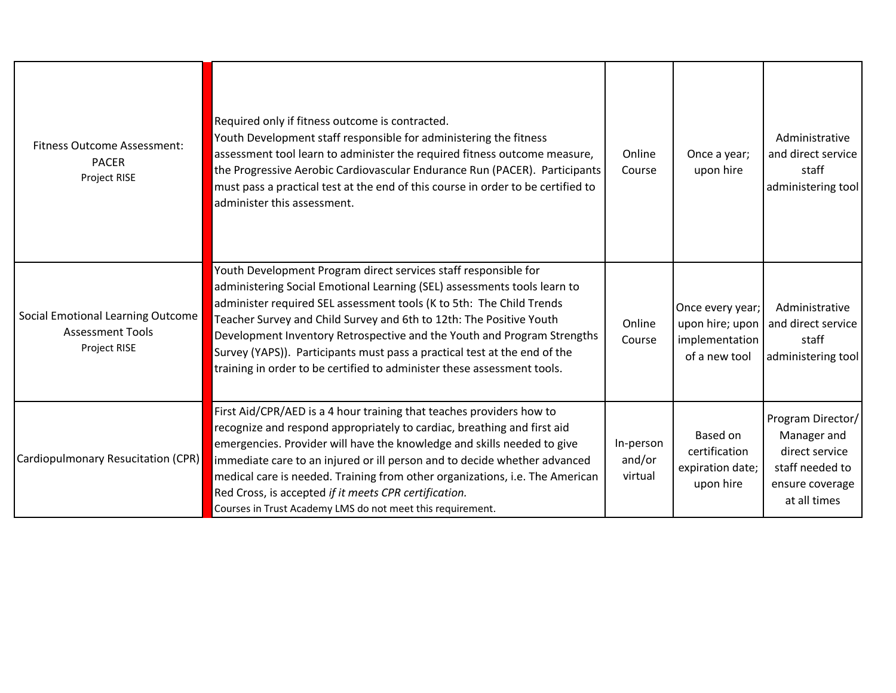| <b>Fitness Outcome Assessment:</b><br><b>PACER</b><br>Project RISE           | Required only if fitness outcome is contracted.<br>Youth Development staff responsible for administering the fitness<br>assessment tool learn to administer the required fitness outcome measure,<br>the Progressive Aerobic Cardiovascular Endurance Run (PACER). Participants<br>must pass a practical test at the end of this course in order to be certified to<br>administer this assessment.                                                                                                                            | Online<br>Course               | Once a year;<br>upon hire                                              | Administrative<br>and direct service<br>staff<br>administering tool                                      |
|------------------------------------------------------------------------------|-------------------------------------------------------------------------------------------------------------------------------------------------------------------------------------------------------------------------------------------------------------------------------------------------------------------------------------------------------------------------------------------------------------------------------------------------------------------------------------------------------------------------------|--------------------------------|------------------------------------------------------------------------|----------------------------------------------------------------------------------------------------------|
| Social Emotional Learning Outcome<br><b>Assessment Tools</b><br>Project RISE | Youth Development Program direct services staff responsible for<br>administering Social Emotional Learning (SEL) assessments tools learn to<br>administer required SEL assessment tools (K to 5th: The Child Trends<br>Teacher Survey and Child Survey and 6th to 12th: The Positive Youth<br>Development Inventory Retrospective and the Youth and Program Strengths<br>Survey (YAPS)). Participants must pass a practical test at the end of the<br>training in order to be certified to administer these assessment tools. | Online<br>Course               | Once every year;<br>upon hire; upon<br>implementation<br>of a new tool | Administrative<br>and direct service<br>staff<br>administering tool                                      |
| Cardiopulmonary Resucitation (CPR)                                           | First Aid/CPR/AED is a 4 hour training that teaches providers how to<br>recognize and respond appropriately to cardiac, breathing and first aid<br>emergencies. Provider will have the knowledge and skills needed to give<br>immediate care to an injured or ill person and to decide whether advanced<br>medical care is needed. Training from other organizations, i.e. The American<br>Red Cross, is accepted if it meets CPR certification.<br>Courses in Trust Academy LMS do not meet this requirement.                | In-person<br>and/or<br>virtual | Based on<br>certification<br>expiration date;<br>upon hire             | Program Director/<br>Manager and<br>direct service<br>staff needed to<br>ensure coverage<br>at all times |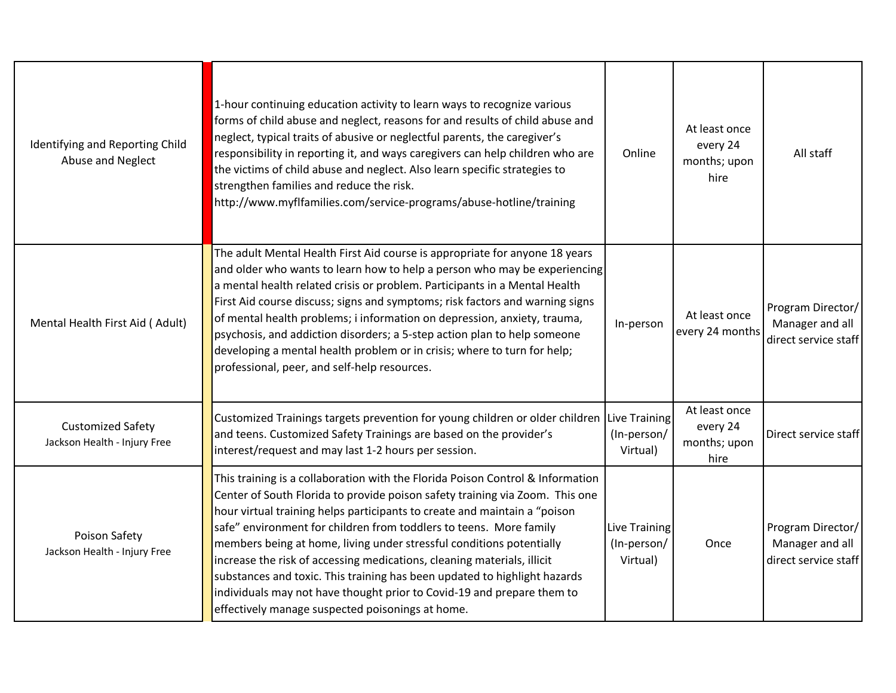| Identifying and Reporting Child<br>Abuse and Neglect     | 1-hour continuing education activity to learn ways to recognize various<br>forms of child abuse and neglect, reasons for and results of child abuse and<br>neglect, typical traits of abusive or neglectful parents, the caregiver's<br>responsibility in reporting it, and ways caregivers can help children who are<br>the victims of child abuse and neglect. Also learn specific strategies to<br>strengthen families and reduce the risk.<br>http://www.myflfamilies.com/service-programs/abuse-hotline/training                                                                                                                                                           | Online                                   | At least once<br>every 24<br>months; upon<br>hire | All staff                                                    |
|----------------------------------------------------------|---------------------------------------------------------------------------------------------------------------------------------------------------------------------------------------------------------------------------------------------------------------------------------------------------------------------------------------------------------------------------------------------------------------------------------------------------------------------------------------------------------------------------------------------------------------------------------------------------------------------------------------------------------------------------------|------------------------------------------|---------------------------------------------------|--------------------------------------------------------------|
| Mental Health First Aid (Adult)                          | The adult Mental Health First Aid course is appropriate for anyone 18 years<br>and older who wants to learn how to help a person who may be experiencing<br>a mental health related crisis or problem. Participants in a Mental Health<br>First Aid course discuss; signs and symptoms; risk factors and warning signs<br>of mental health problems; i information on depression, anxiety, trauma,<br>psychosis, and addiction disorders; a 5-step action plan to help someone<br>developing a mental health problem or in crisis; where to turn for help;<br>professional, peer, and self-help resources.                                                                      | In-person                                | At least once<br>every 24 months                  | Program Director/<br>Manager and all<br>direct service staff |
| <b>Customized Safety</b><br>Jackson Health - Injury Free | Customized Trainings targets prevention for young children or older children Live Training<br>and teens. Customized Safety Trainings are based on the provider's<br>interest/request and may last 1-2 hours per session.                                                                                                                                                                                                                                                                                                                                                                                                                                                        | (In-person/<br>Virtual)                  | At least once<br>every 24<br>months; upon<br>hire | Direct service staff                                         |
| Poison Safety<br>Jackson Health - Injury Free            | This training is a collaboration with the Florida Poison Control & Information<br>Center of South Florida to provide poison safety training via Zoom. This one<br>hour virtual training helps participants to create and maintain a "poison<br>safe" environment for children from toddlers to teens. More family<br>members being at home, living under stressful conditions potentially<br>increase the risk of accessing medications, cleaning materials, illicit<br>substances and toxic. This training has been updated to highlight hazards<br>individuals may not have thought prior to Covid-19 and prepare them to<br>effectively manage suspected poisonings at home. | Live Training<br>(In-person/<br>Virtual) | Once                                              | Program Director/<br>Manager and all<br>direct service staff |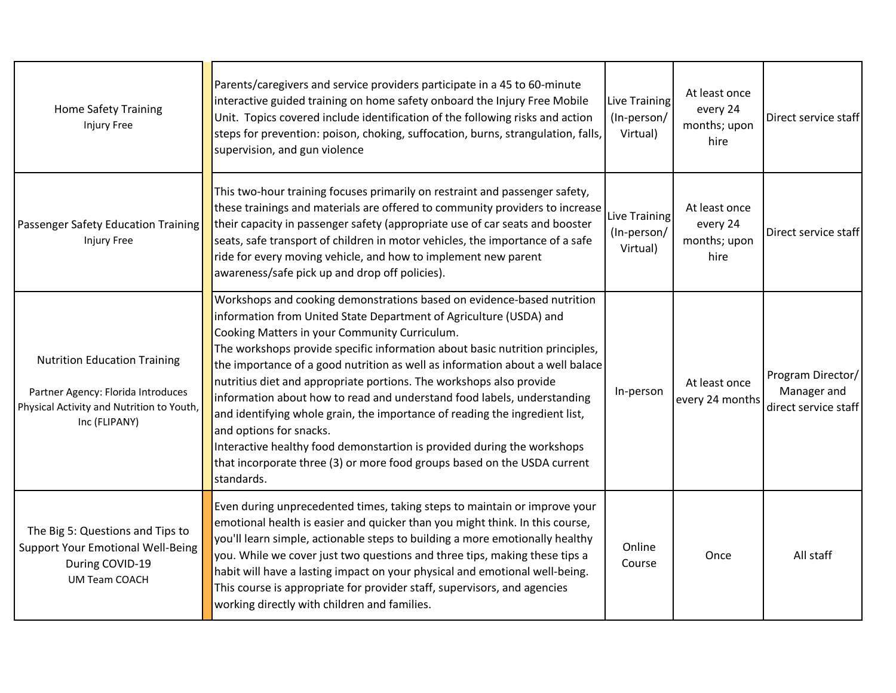| <b>Home Safety Training</b><br><b>Injury Free</b>                                                                                       | Parents/caregivers and service providers participate in a 45 to 60-minute<br>interactive guided training on home safety onboard the Injury Free Mobile<br>Unit. Topics covered include identification of the following risks and action<br>steps for prevention: poison, choking, suffocation, burns, strangulation, falls,<br>supervision, and gun violence                                                                                                                                                                                                                                                                                                                                                                                                                                    | Live Training<br>(In-person/<br>Virtual) | At least once<br>every 24<br>months; upon<br>hire | Direct service staff                                     |
|-----------------------------------------------------------------------------------------------------------------------------------------|-------------------------------------------------------------------------------------------------------------------------------------------------------------------------------------------------------------------------------------------------------------------------------------------------------------------------------------------------------------------------------------------------------------------------------------------------------------------------------------------------------------------------------------------------------------------------------------------------------------------------------------------------------------------------------------------------------------------------------------------------------------------------------------------------|------------------------------------------|---------------------------------------------------|----------------------------------------------------------|
| Passenger Safety Education Training<br>Injury Free                                                                                      | This two-hour training focuses primarily on restraint and passenger safety,<br>these trainings and materials are offered to community providers to increase<br>their capacity in passenger safety (appropriate use of car seats and booster<br>seats, safe transport of children in motor vehicles, the importance of a safe<br>ride for every moving vehicle, and how to implement new parent<br>awareness/safe pick up and drop off policies).                                                                                                                                                                                                                                                                                                                                                | Live Training<br>(In-person/<br>Virtual) | At least once<br>every 24<br>months; upon<br>hire | Direct service staff                                     |
| <b>Nutrition Education Training</b><br>Partner Agency: Florida Introduces<br>Physical Activity and Nutrition to Youth,<br>Inc (FLIPANY) | Workshops and cooking demonstrations based on evidence-based nutrition<br>information from United State Department of Agriculture (USDA) and<br>Cooking Matters in your Community Curriculum.<br>The workshops provide specific information about basic nutrition principles,<br>the importance of a good nutrition as well as information about a well balace<br>nutritius diet and appropriate portions. The workshops also provide<br>information about how to read and understand food labels, understanding<br>and identifying whole grain, the importance of reading the ingredient list,<br>and options for snacks.<br>Interactive healthy food demonstartion is provided during the workshops<br>that incorporate three (3) or more food groups based on the USDA current<br>standards. | In-person                                | At least once<br>every 24 months                  | Program Director/<br>Manager and<br>direct service staff |
| The Big 5: Questions and Tips to<br><b>Support Your Emotional Well-Being</b><br>During COVID-19<br><b>UM Team COACH</b>                 | Even during unprecedented times, taking steps to maintain or improve your<br>emotional health is easier and quicker than you might think. In this course,<br>you'll learn simple, actionable steps to building a more emotionally healthy<br>you. While we cover just two questions and three tips, making these tips a<br>habit will have a lasting impact on your physical and emotional well-being.<br>This course is appropriate for provider staff, supervisors, and agencies<br>working directly with children and families.                                                                                                                                                                                                                                                              | Online<br>Course                         | Once                                              | All staff                                                |